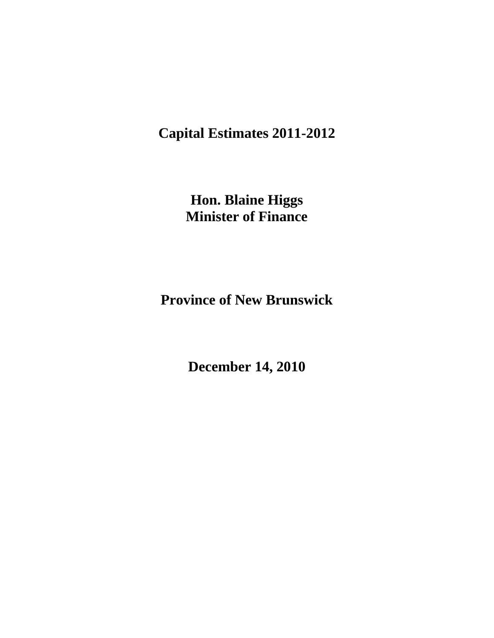**Capital Estimates 2011-2012**

**Hon. Blaine Higgs Minister of Finance**

**Province of New Brunswick**

**December 14, 2010**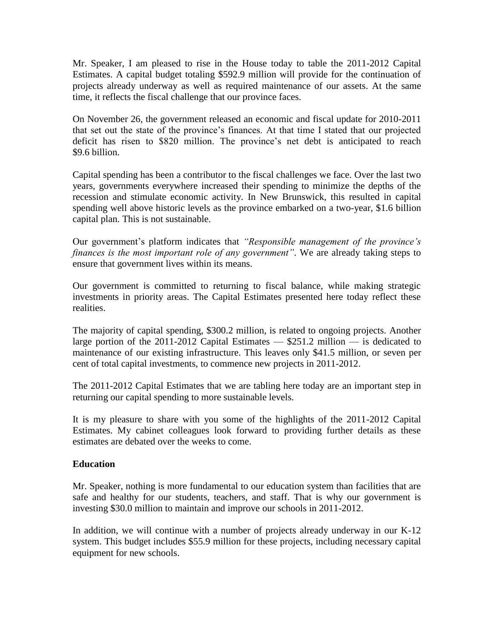Mr. Speaker, I am pleased to rise in the House today to table the 2011-2012 Capital Estimates. A capital budget totaling \$592.9 million will provide for the continuation of projects already underway as well as required maintenance of our assets. At the same time, it reflects the fiscal challenge that our province faces.

On November 26, the government released an economic and fiscal update for 2010-2011 that set out the state of the province's finances. At that time I stated that our projected deficit has risen to \$820 million. The province's net debt is anticipated to reach \$9.6 billion.

Capital spending has been a contributor to the fiscal challenges we face. Over the last two years, governments everywhere increased their spending to minimize the depths of the recession and stimulate economic activity. In New Brunswick, this resulted in capital spending well above historic levels as the province embarked on a two-year, \$1.6 billion capital plan. This is not sustainable.

Our government's platform indicates that *"Responsible management of the province"s finances is the most important role of any government"*. We are already taking steps to ensure that government lives within its means.

Our government is committed to returning to fiscal balance, while making strategic investments in priority areas. The Capital Estimates presented here today reflect these realities.

The majority of capital spending, \$300.2 million, is related to ongoing projects. Another large portion of the 2011-2012 Capital Estimates  $-$  \$251.2 million  $-$  is dedicated to maintenance of our existing infrastructure. This leaves only \$41.5 million, or seven per cent of total capital investments, to commence new projects in 2011-2012.

The 2011-2012 Capital Estimates that we are tabling here today are an important step in returning our capital spending to more sustainable levels.

It is my pleasure to share with you some of the highlights of the 2011-2012 Capital Estimates. My cabinet colleagues look forward to providing further details as these estimates are debated over the weeks to come.

# **Education**

Mr. Speaker, nothing is more fundamental to our education system than facilities that are safe and healthy for our students, teachers, and staff. That is why our government is investing \$30.0 million to maintain and improve our schools in 2011-2012.

In addition, we will continue with a number of projects already underway in our K-12 system. This budget includes \$55.9 million for these projects, including necessary capital equipment for new schools.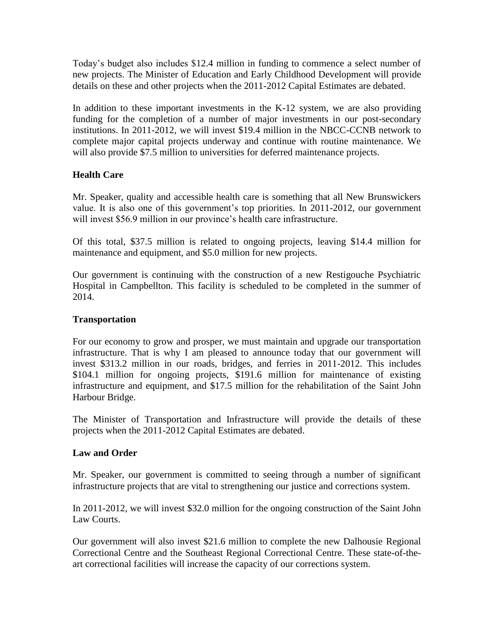Today's budget also includes \$12.4 million in funding to commence a select number of new projects. The Minister of Education and Early Childhood Development will provide details on these and other projects when the 2011-2012 Capital Estimates are debated.

In addition to these important investments in the K-12 system, we are also providing funding for the completion of a number of major investments in our post-secondary institutions. In 2011-2012, we will invest \$19.4 million in the NBCC-CCNB network to complete major capital projects underway and continue with routine maintenance. We will also provide \$7.5 million to universities for deferred maintenance projects.

# **Health Care**

Mr. Speaker, quality and accessible health care is something that all New Brunswickers value. It is also one of this government's top priorities. In 2011-2012, our government will invest \$56.9 million in our province's health care infrastructure.

Of this total, \$37.5 million is related to ongoing projects, leaving \$14.4 million for maintenance and equipment, and \$5.0 million for new projects.

Our government is continuing with the construction of a new Restigouche Psychiatric Hospital in Campbellton. This facility is scheduled to be completed in the summer of 2014.

# **Transportation**

For our economy to grow and prosper, we must maintain and upgrade our transportation infrastructure. That is why I am pleased to announce today that our government will invest \$313.2 million in our roads, bridges, and ferries in 2011-2012. This includes \$104.1 million for ongoing projects, \$191.6 million for maintenance of existing infrastructure and equipment, and \$17.5 million for the rehabilitation of the Saint John Harbour Bridge.

The Minister of Transportation and Infrastructure will provide the details of these projects when the 2011-2012 Capital Estimates are debated.

# **Law and Order**

Mr. Speaker, our government is committed to seeing through a number of significant infrastructure projects that are vital to strengthening our justice and corrections system.

In 2011-2012, we will invest \$32.0 million for the ongoing construction of the Saint John Law Courts.

Our government will also invest \$21.6 million to complete the new Dalhousie Regional Correctional Centre and the Southeast Regional Correctional Centre. These state-of-theart correctional facilities will increase the capacity of our corrections system.